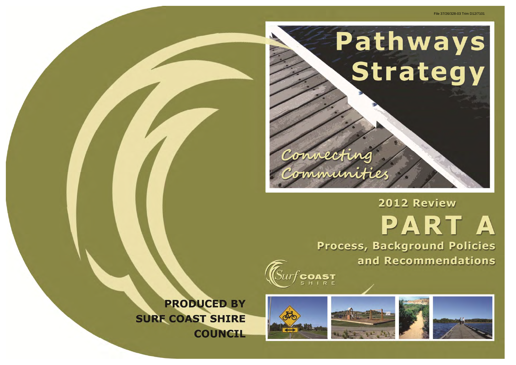





**PRODUCED BY SURF COAST SHIRE COUNCIL** 

#### File 37/26/328-03 Trim D12/7101

# 2012 Review PART A Process, Background Policies and Recommendations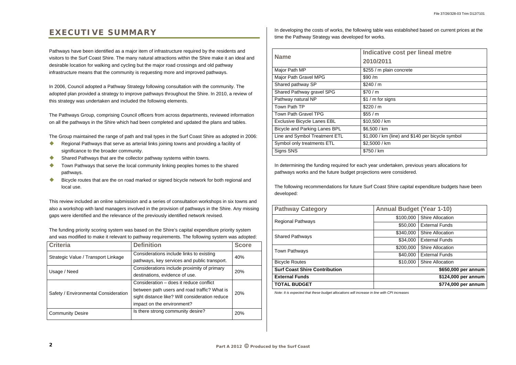## **EXECUTIVE SUMMARY**

Pathways have been identified as a major item of infrastructure required by the residents and visitors to the Surf Coast Shire. The many natural attractions within the Shire make it an ideal and desirable location for walking and cycling but the major road crossings and old pathway infrastructure means that the community is requesting more and improved pathways.

In 2006, Council adopted a Pathway Strategy following consultation with the community. The adopted plan provided a strategy to improve pathways throughout the Shire. In 2010, a review of this strategy was undertaken and included the following elements.

- $\bullet$  Regional Pathways that serve as arterial links joining towns and providing a facility of significance to the broader community.
- $\bullet$ Shared Pathways that are the collector pathway systems within towns.
- $\bullet$  Town Pathways that serve the local community linking peoples homes to the shared pathways.
- $\blacklozenge$  Bicycle routes that are the on road marked or signed bicycle network for both regional and local use.

The Pathways Group, comprising Council officers from across departments, reviewed information on all the pathways in the Shire which had been completed and updated the plans and tables.

The Group maintained the range of path and trail types in the Surf Coast Shire as adopted in 2006:

In developing the costs of works, the following table was established based on current prices at the time the Pathway Strategy was developed for works.

This review included an online submission and a series of consultation workshops in six towns and also a workshop with land managers involved in the provision of pathways in the Shire. Any missing gaps were identified and the relevance of the previously identified network revised.

The funding priority scoring system was based on the Shire's capital expenditure priority system and was modified to make it relevant to pathway requirements. The following system was adopted:

| <b>Criteria</b>                      | <b>Definition</b>                              | <b>Score</b> |
|--------------------------------------|------------------------------------------------|--------------|
| Strategic Value / Transport Linkage  | Considerations include links to existing       | 40%          |
|                                      | pathways, key services and public transport.   |              |
| Usage / Need                         | Considerations include proximity of primary    | <b>20%</b>   |
|                                      | destinations, evidence of use.                 |              |
|                                      | Consideration – does it reduce conflict        | 20%          |
| Safety / Environmental Consideration | between path users and road traffic? What is   |              |
|                                      | sight distance like? Will consideration reduce |              |
|                                      | impact on the environment?                     |              |
| <b>Community Desire</b>              | Is there strong community desire?              | 20%          |

| <b>Name</b>                        | Indicative cost per lineal metre                 |  |
|------------------------------------|--------------------------------------------------|--|
|                                    | 2010/2011                                        |  |
| Major Path MP                      | \$255 / m plain concrete                         |  |
| Major Path Gravel MPG              | \$90/m                                           |  |
| Shared pathway SP                  | \$240/m                                          |  |
| Shared Pathway gravel SPG          | \$70/m                                           |  |
| Pathway natural NP                 | \$1 / m for signs                                |  |
| Town Path TP                       | \$220/m                                          |  |
| <b>Town Path Gravel TPG</b>        | \$55 / m                                         |  |
| <b>Exclusive Bicycle Lanes EBL</b> | \$10,500 / km                                    |  |
| Bicycle and Parking Lanes BPL      | \$6,500 / km                                     |  |
| Line and Symbol Treatment ETL      | \$1,000 / km (line) and \$140 per bicycle symbol |  |
| Symbol only treatments ETL         | \$2,5000 / km                                    |  |
| Signs SNS                          | \$750 / km                                       |  |
|                                    |                                                  |  |

In determining the funding required for each year undertaken, previous years allocations for pathways works and the future budget projections were considered.

The following recommendations for future Surf Coast Shire capital expenditure budgets have been developed:

| <b>Pathway Category</b>              | <b>Annual Budget (Year 1-10)</b> |                         |
|--------------------------------------|----------------------------------|-------------------------|
| <b>Regional Pathways</b>             | \$100,000                        | <b>Shire Allocation</b> |
|                                      | \$50,000                         | <b>External Funds</b>   |
| <b>Shared Pathways</b>               | \$340,000                        | <b>Shire Allocation</b> |
|                                      | \$34,000                         | <b>External Funds</b>   |
| <b>Town Pathways</b>                 | \$200,000                        | <b>Shire Allocation</b> |
|                                      | \$40,000                         | <b>External Funds</b>   |
| <b>Bicycle Routes</b>                | \$10,000                         | <b>Shire Allocation</b> |
| <b>Surf Coast Shire Contribution</b> |                                  | \$650,000 per annum     |
| <b>External Funds</b>                |                                  | \$124,000 per annum     |
| <b>TOTAL BUDGET</b>                  |                                  | \$774,000 per annum     |

*Note: It is expected that these budget allocations will increase in line with CPI increases* 

| cost per lineal metre               |
|-------------------------------------|
|                                     |
| in concrete                         |
|                                     |
|                                     |
|                                     |
| ıns                                 |
|                                     |
|                                     |
|                                     |
|                                     |
| (line) and \$140 per bicycle symbol |
|                                     |
|                                     |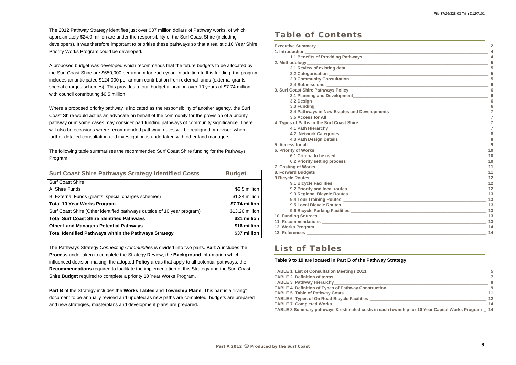The 2012 Pathway Strategy identifies just over \$37 million dollars of Pathway works, of which approximately \$24.9 million are under the responsibility of the Surf Coast Shire (including developers). It was therefore important to prioritise these pathways so that a realistic 10 Year Shire Priority Works Program could be developed.

A proposed budget was developed which recommends that the future budgets to be allocated by the Surf Coast Shire are \$650,000 per annum for each year. In addition to this funding, the program includes an anticipated \$124,000 per annum contribution from external funds (external grants, special charges schemes). This provides a total budget allocation over 10 years of \$7.74 million with council contributing \$6.5 million.

Where a proposed priority pathway is indicated as the responsibility of another agency, the Surf Coast Shire would act as an advocate on behalf of the community for the provision of a priority pathway or in some cases may consider part funding pathways of community significance. There will also be occasions where recommended pathway routes will be realigned or revised when further detailed consultation and investigation is undertaken with other land managers.

The following table summarises the recommended Surf Coast Shire funding for the Pathways Program:

| <b>Surf Coast Shire Pathways Strategy Identified Costs</b>              | <b>Budget</b>   |
|-------------------------------------------------------------------------|-----------------|
| <b>Surf Coast Shire</b>                                                 |                 |
| A: Shire Funds                                                          | \$6.5 million   |
| B: External Funds (grants, special charges schemes)                     | \$1.24 million  |
| <b>Total 10 Year Works Program</b>                                      | \$7.74 million  |
| Surf Coast Shire (Other identified pathways outside of 10 year program) | \$13.26 million |
| <b>Total Surf Coast Shire Identified Pathways</b>                       | \$21 million    |
| <b>Other Land Managers Potential Pathways</b>                           | \$16 million    |
| Total Identified Pathways within the Pathways Strategy                  | \$37 million    |

The Pathways Strategy *Connecting Communities* is divided into two parts. **Part A** includes the **Process** undertaken to complete the Strategy Review, the **Background** information which influenced decision making, the adopted **Policy** areas that apply to all potential pathways, the **Recommendations** required to facilitate the implementation of this Strategy and the Surf Coast Shire **Budget** required to complete a priority 10 Year Works Program.

**Part B** of the Strategy includes the **Works Tables** and **Township Plans**. This part is a "living" document to be annually revised and updated as new paths are completed, budgets are prepared and new strategies, masterplans and development plans are prepared.

### **Table of Contents**

| duction<br>4<br>4<br>odology_<br>5<br>5<br>5<br>$6\phantom{1}6$<br>6<br>6<br>6<br>6<br>3.5 Access for All 3.5<br>s of Paths in the Surf Coast Shire <b>contained the Contract of Paths in the Surf Coast Shire</b><br>$\overline{7}$<br>8<br>8<br>9<br>10<br>6.1 Criteria to be used <b>contract to the experimental contract of the experimental contract of the experimental contract of the experimental contract of the experimental contract of the experimental contract of the experim</b><br>10<br>10<br>11<br>11<br>12<br>12<br>12<br>13<br>13<br>13<br>13<br>13<br>13<br>14<br>14 | ve Summary ___________________________ | $\overline{2}$ |
|---------------------------------------------------------------------------------------------------------------------------------------------------------------------------------------------------------------------------------------------------------------------------------------------------------------------------------------------------------------------------------------------------------------------------------------------------------------------------------------------------------------------------------------------------------------------------------------------|----------------------------------------|----------------|
|                                                                                                                                                                                                                                                                                                                                                                                                                                                                                                                                                                                             |                                        |                |
|                                                                                                                                                                                                                                                                                                                                                                                                                                                                                                                                                                                             |                                        |                |
|                                                                                                                                                                                                                                                                                                                                                                                                                                                                                                                                                                                             |                                        |                |
|                                                                                                                                                                                                                                                                                                                                                                                                                                                                                                                                                                                             |                                        |                |
|                                                                                                                                                                                                                                                                                                                                                                                                                                                                                                                                                                                             |                                        |                |
|                                                                                                                                                                                                                                                                                                                                                                                                                                                                                                                                                                                             |                                        |                |
|                                                                                                                                                                                                                                                                                                                                                                                                                                                                                                                                                                                             |                                        |                |
|                                                                                                                                                                                                                                                                                                                                                                                                                                                                                                                                                                                             |                                        |                |
|                                                                                                                                                                                                                                                                                                                                                                                                                                                                                                                                                                                             |                                        |                |
|                                                                                                                                                                                                                                                                                                                                                                                                                                                                                                                                                                                             |                                        |                |
|                                                                                                                                                                                                                                                                                                                                                                                                                                                                                                                                                                                             |                                        |                |
|                                                                                                                                                                                                                                                                                                                                                                                                                                                                                                                                                                                             |                                        |                |
|                                                                                                                                                                                                                                                                                                                                                                                                                                                                                                                                                                                             |                                        |                |
|                                                                                                                                                                                                                                                                                                                                                                                                                                                                                                                                                                                             |                                        |                |
|                                                                                                                                                                                                                                                                                                                                                                                                                                                                                                                                                                                             |                                        |                |
|                                                                                                                                                                                                                                                                                                                                                                                                                                                                                                                                                                                             |                                        |                |
|                                                                                                                                                                                                                                                                                                                                                                                                                                                                                                                                                                                             |                                        |                |
|                                                                                                                                                                                                                                                                                                                                                                                                                                                                                                                                                                                             |                                        |                |
|                                                                                                                                                                                                                                                                                                                                                                                                                                                                                                                                                                                             |                                        |                |
|                                                                                                                                                                                                                                                                                                                                                                                                                                                                                                                                                                                             |                                        |                |
|                                                                                                                                                                                                                                                                                                                                                                                                                                                                                                                                                                                             |                                        |                |
|                                                                                                                                                                                                                                                                                                                                                                                                                                                                                                                                                                                             |                                        |                |
|                                                                                                                                                                                                                                                                                                                                                                                                                                                                                                                                                                                             |                                        |                |
|                                                                                                                                                                                                                                                                                                                                                                                                                                                                                                                                                                                             |                                        |                |
|                                                                                                                                                                                                                                                                                                                                                                                                                                                                                                                                                                                             |                                        |                |
|                                                                                                                                                                                                                                                                                                                                                                                                                                                                                                                                                                                             |                                        |                |
|                                                                                                                                                                                                                                                                                                                                                                                                                                                                                                                                                                                             |                                        |                |
|                                                                                                                                                                                                                                                                                                                                                                                                                                                                                                                                                                                             |                                        |                |
|                                                                                                                                                                                                                                                                                                                                                                                                                                                                                                                                                                                             |                                        |                |
|                                                                                                                                                                                                                                                                                                                                                                                                                                                                                                                                                                                             |                                        |                |
|                                                                                                                                                                                                                                                                                                                                                                                                                                                                                                                                                                                             |                                        |                |
|                                                                                                                                                                                                                                                                                                                                                                                                                                                                                                                                                                                             |                                        |                |
|                                                                                                                                                                                                                                                                                                                                                                                                                                                                                                                                                                                             |                                        |                |
|                                                                                                                                                                                                                                                                                                                                                                                                                                                                                                                                                                                             |                                        |                |

|                                                                                                                          | $\sim$ 2       |
|--------------------------------------------------------------------------------------------------------------------------|----------------|
|                                                                                                                          |                |
|                                                                                                                          |                |
|                                                                                                                          |                |
|                                                                                                                          | 5              |
|                                                                                                                          | 5              |
|                                                                                                                          |                |
|                                                                                                                          |                |
|                                                                                                                          |                |
|                                                                                                                          |                |
|                                                                                                                          |                |
|                                                                                                                          |                |
| 3.4 Pathways in New Estates and Developments <b>Statements Contract the Contract of Statement Contract of Statements</b> | $\overline{7}$ |
|                                                                                                                          | $\overline{7}$ |
|                                                                                                                          | $\overline{7}$ |
|                                                                                                                          |                |
|                                                                                                                          |                |
|                                                                                                                          |                |
|                                                                                                                          |                |
|                                                                                                                          | 10             |
|                                                                                                                          |                |
|                                                                                                                          |                |
|                                                                                                                          |                |
|                                                                                                                          |                |
|                                                                                                                          | 12             |
|                                                                                                                          | 12             |
|                                                                                                                          | 12             |
|                                                                                                                          | 13             |
| 9.4 Tour Training Routes <b>Manual Property of American</b> Property and Property and Property and Property and Property | 13             |
|                                                                                                                          |                |
|                                                                                                                          |                |
|                                                                                                                          | 13             |
|                                                                                                                          |                |
|                                                                                                                          | 14             |
| 13. References                                                                                                           | 14             |

### **List of Tables**

#### **Table 9 to 19 are located in Part B of the Pathway Strategy**

| TABLE 1 List of Consultation Meetings 2011                                                         | -5  |
|----------------------------------------------------------------------------------------------------|-----|
| <b>TABLE 2 Definition of terms</b>                                                                 |     |
|                                                                                                    | -8  |
| TABLE 4 Definition of Types of Pathway Construction                                                | - 9 |
| TABLE 5 Table of Pathway Costs _______________                                                     | 11  |
| TABLE 6 Types of On Road Bicycle Facilities _________                                              | 12  |
| TABLE 7 Completed Works ________________                                                           | 14  |
| TABLE 8 Summary pathways & estimated costs in each township for 10 Year Capital Works Program _ 14 |     |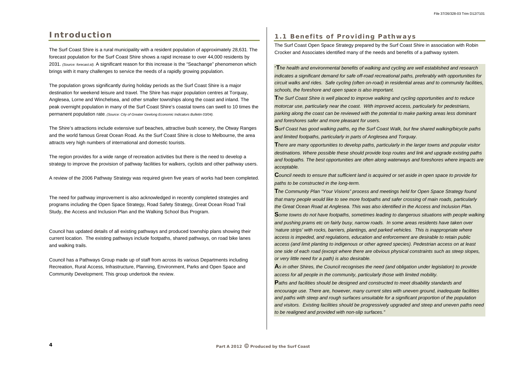## **Introduction**

The Surf Coast Shire is a rural municipality with a resident population of approximately 28,631. The forecast population for the Surf Coast Shire shows a rapid increase to over 44,000 residents by 2031. *(Source: forecast.id).* A significant reason for this increase is the "Seachange" phenomenon which brings with it many challenges to service the needs of a rapidly growing population.

The population grows significantly during holiday periods as the Surf Coast Shire is a major destination for weekend leisure and travel. The Shire has major population centres at Torquay, Anglesea, Lorne and Winchelsea, and other smaller townships along the coast and inland. The peak overnight population in many of the Surf Coast Shire's coastal towns can swell to 10 times the permanent population rate. *(Source: City of Greater Geelong Economic Indicators Bulletin 03/04).*

The Shire's attractions include extensive surf beaches, attractive bush scenery, the Otway Ranges and the world famous Great Ocean Road. As the Surf Coast Shire is close to Melbourne, the area attracts very high numbers of international and domestic tourists.

The region provides for a wide range of recreation activities but there is the need to develop a strategy to improve the provision of pathway facilities for walkers, cyclists and other pathway users.

A review of the 2006 Pathway Strategy was required given five years of works had been completed.

The need for pathway improvement is also acknowledged in recently completed strategies and programs including the Open Space Strategy, Road Safety Strategy, Great Ocean Road Trail Study, the Access and Inclusion Plan and the Walking School Bus Program.

Council has updated details of all existing pathways and produced township plans showing their current location. The existing pathways include footpaths, shared pathways, on road bike lanes and walking trails.

Council has a Pathways Group made up of staff from across its various Departments including Recreation, Rural Access, Infrastructure, Planning, Environment, Parks and Open Space and Community Development. This group undertook the review.

### **1.1 Benefits of Providing Pathways**

The Surf Coast Open Space Strategy prepared by the Surf Coast Shire in association with Robin Crocker and Associates identified many of the needs and benefits of a pathway system.

"**T***he health and environmental benefits of walking and cycling are well established and research indicates a significant demand for safe off-road recreational paths, preferably with opportunities for circuit walks and rides. Safe cycling (often on-road) in residential areas and to community facilities, schools, the foreshore and open space is also important.* 

**T***he Surf Coast Shire is well placed to improve walking and cycling opportunities and to reduce motorcar use, particularly near the coast. With improved access, particularly for pedestrians, parking along the coast can be reviewed with the potential to make parking areas less dominant and foreshores safer and more pleasant for users.* 

**S***urf Coast has good walking paths, eg the Surf Coast Walk, but few shared walking/bicycle paths and limited footpaths, particularly in parts of Anglesea and Torquay.*  **T***here are many opportunities to develop paths, particularly in the larger towns and popular visitor destinations. Where possible these should provide loop routes and link and upgrade existing paths and footpaths. The best opportunities are often along waterways and foreshores where impacts are acceptable.* 

**C***ouncil needs to ensure that sufficient land is acquired or set aside in open space to provide for paths to be constructed in the long-term.* 

**T***he Community Plan "Your Visions" process and meetings held for Open Space Strategy found that many people would like to see more footpaths and safer crossing of main roads, particularly the Great Ocean Road at Anglesea. This was also identified in the Access and Inclusion Plan.*  **S***ome towns do not have footpaths, sometimes leading to dangerous situations with people walking and pushing prams etc on fairly busy, narrow roads. In some areas residents have taken over 'nature strips' with rocks, barriers, plantings, and parked vehicles. This is inappropriate where access is impeded, and regulations, education and enforcement are desirable to retain public access (and limit planting to indigenous or other agreed species). Pedestrian access on at least one side of each road (except where there are obvious physical constraints such as steep slopes, or very little need for a path) is also desirable.* 

**A***s in other Shires, the Council recognises the need (and obligation under legislation) to provide access for all people in the community, particularly those with limited mobility.* 

**P***aths and facilities should be designed and constructed to meet disability standards and encourage use. There are, however, many current sites with uneven ground, inadequate facilities and paths with steep and rough surfaces unsuitable for a significant proportion of the population and visitors. Existing facilities should be progressively upgraded and steep and uneven paths need to be realigned and provided with non-slip surfaces."*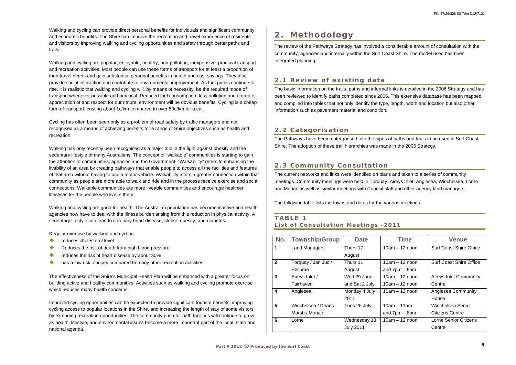Walking and cycling can provide direct personal benefits for individuals and significant community and economic benefits. The Shire can improve the recreation and travel experience of residents and visitors by improving walking and cycling opportunities and safety through better paths and trails.

Walking and cycling are popular, enjoyable, healthy, non-polluting, inexpensive, practical transport and recreation activities. Most people can use these forms of transport for at least a proportion of their travel needs and gain substantial personal benefits in health and cost savings. They also provide social interaction and contribute to environmental improvement. As fuel prices continue to rise, it is realistic that walking and cycling will, by means of necessity, be the required mode of transport whenever possible and practical. Reduced fuel consumption, less pollution and a greater appreciation of and respect for our natural environment will be obvious benefits. Cycling is a cheap form of transport, costing about 1c/km compared to over 50c/km for a car.

Cycling has often been seen only as a problem of road safety by traffic managers and not recognised as a means of achieving benefits for a range of Shire objectives such as health and recreation.

- $\bullet$ reduces cholesterol level
- $\bullet$ Reduces the risk of death from high blood pressure
- $\blacklozenge$ reduces the risk of heart disease by about 30%
- $\blacklozenge$ has a low risk of injury compared to many other recreation activities

Walking has only recently been recognised as a major tool in the fight against obesity and the sedentary lifestyle of many Australians. The concept of "walkable" communities is starting to gain the attention of communities, agencies and the Government. "Walkability" refers to enhancing the livability of an area by creating pathways that enable people to access all the facilities and features of that area without having to use a motor vehicle. Walkability infers a greater connection within that community as people are more able to walk and ride and in the process receive exercise and social connections. Walkable communities are more liveable communities and encourage healthier lifestyles for the people who live in them.

Walking and cycling are good for health. The Australian population has become inactive and health agencies now have to deal with the illness burden arising from this reduction in physical activity. A sedentary lifestyle can lead to coronary heart disease, stroke, obesity, and diabetes.

Regular exercise by walking and cycling:

The effectiveness of the Shire's Municipal Health Plan will be enhanced with a greater focus on building active and healthy communities. Activities such as walking and cycling promote exercise which reduces many health concerns.

Improved cycling opportunities can be expected to provide significant tourism benefits, improving cycling access to popular locations in the Shire, and increasing the length of stay of some visitors by extending recreation opportunities. The community push for path facilities will continue to grow as health, lifestyle, and environmental issues become a more important part of the local, state and national agenda.

# **2. Methodology**

The review of the Pathways Strategy has involved a considerable amount of consultation with the community, agencies and internally within the Surf Coast Shire. The model used has been integrated planning.

### **2.1 Review of existing data**

The basic information on the trails, paths and informal links is detailed in the 2006 Strategy and has been reviewed to identify paths completed since 2006. This extensive database has been mapped and compiled into tables that not only identify the type, length, width and location but also other information such as pavement material and condition.

### **2.2 Categorisation**

The Pathways have beem catergorised into the types of paths and trails to be used in Surf Coast Shire. The adoption of these trail hierarchies was made in the 2006 Strategy.

### **2.3 Community Consultation**

The current networks and links were identified on plans and taken to a series of community meetings. Community meetings were held in Torquay, Aireys Inlet, Anglesea, Winchelsea, Lorne and Moriac as well as similar meetings with Council staff and other agency land managers.

The following table lists the towns and dates for the various meetings.

### **TABLE 1 List of Consultation Meetings -2011**

|                |                       |                  | <b>Time</b>                     | <b>Venue</b>                   |
|----------------|-----------------------|------------------|---------------------------------|--------------------------------|
| No.            | <b>Township/Group</b> | <b>Date</b>      |                                 |                                |
| 1              | <b>Land Managers</b>  | Thurs 17         | $10am - 12 non$                 | <b>Surf Coast Shire Office</b> |
|                |                       | August           |                                 |                                |
| $\overline{2}$ | Torquay / Jan Juc /   | Thurs 11         | $10am - 12$ noon                | <b>Surf Coast Shire Office</b> |
|                | <b>Bellbrae</b>       | August           | and $7 \text{pm} - 9 \text{pm}$ |                                |
| $\overline{3}$ | Aireys Inlet /        | Wed 29 June      | $10am - 12$ noon                | <b>Aireys Inlet Community</b>  |
|                | Fairhaven             | and Sat 2 July   | $10am - 12$ noon                | Centre                         |
| 4              | Anglesea              | Monday 4 July    | $10am - 12$ noon                | <b>Anglesea Community</b>      |
|                |                       | 2011             |                                 | House                          |
| 5              | Winchelsea / Deans    | Tues 26 July     | $10am - 11am$                   | Winchelsea Senior              |
|                | Marsh / Moriac        |                  | and $7 \text{pm} - 8 \text{pm}$ | Citizens Centre                |
| 6              | Lorne                 | Wednesday 13     | $10am - 12$ noon                | <b>Lorne Senior Citizens</b>   |
|                |                       | <b>July 2011</b> |                                 | Centre                         |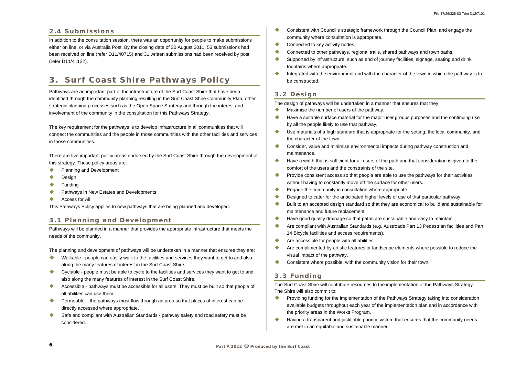### **2.4 Submissions**

In addition to the consultation session, there was an opportunity for people to make submissions either on line, or via Australia Post. By the closing date of 30 August 2011, 53 submissions had been received on line (refer D11/40715) and 31 written submissions had been received by post (refer D11/41122).

# **3. Surf Coast Shire Pathways Policy**

Pathways are an important part of the infrastructure of the Surf Coast Shire that have been identified through the community planning resulting in the Surf Coast Shire Community Plan, other strategic planning processes such as the Open Space Strategy and through the interest and involvement of the community in the consultation for this Pathways Strategy.

- $\blacklozenge$ Planning and Development
- $\blacklozenge$ Design
- $\bullet$ Funding
- ♦ Pathways in New Estates and Developments
- $\blacklozenge$ Access for All

The key requirement for the pathways is to develop infrastructure in all communities that will connect the communities and the people in those communities with the other facilities and services in those communities.

There are five important policy areas endorsed by the Surf Coast Shire through the development of this strategy. These policy areas are:

- $\blacklozenge$  Walkable - people can easily walk to the facilities and services they want to get to and also along the many features of interest in the Surf Coast Shire.
- $\blacklozenge$  Cyclable - people must be able to cycle to the facilities and services they want to get to and also along the many features of interest in the Surf Coast Shire.
- $\blacktriangle$  Accessible - pathways must be accessible for all users. They must be built so that people of all abilities can use them.
- $\bullet$  Permeable – the pathways must flow through an area so that places of interest can be directly accessed where appropriate.
- $\blacklozenge$  Safe and compliant with Australian Standards - pathway safety and road safety must be considered.

This Pathways Policy applies to new pathways that are being planned and developed.

### **3.1 Planning and Development**

- $\bullet$  Consistent with Council's strategic framework through the Council Plan, and engage the community where consultation is appropriate.
- $\blacklozenge$ Connected to key activity nodes.
- $\begin{array}{c} \bullet \\ \bullet \end{array}$  Connected to other pathways, regional trails, shared pathways and town paths.  $\begin{array}{c} \bullet \\ \bullet \end{array}$ Supported by infrastructure, such as end of journey facilities, signage, seating and drink
- fountains where appropriate.
- $\begin{array}{c} \bullet \\ \bullet \end{array}$  Integrated with the environment and with the character of the town in which the pathway is to be constructed.

Pathways will be planned in a manner that provides the appropriate infrastructure that meets the needs of the community.

The planning and development of pathways will be undertaken in a manner that ensures they are:

- $\bullet$ Maximise the number of users of the pathway.
- $\begin{array}{c} \bullet \\ \bullet \end{array}$  Have a suitable surface material for the major user groups purposes and the continuing use by all the people likely to use that pathway.
- $\blacktriangle$  Use materials of a high standard that is appropriate for the setting, the local community, and the character of the town.
- $\blacklozenge$  Consider, value and minimise environmental impacts during pathway construction and maintenance.
- $\bullet$  Have a width that is sufficient for all users of the path and that consideration is given to the comfort of the users and the constraints of the site.
- $\blacklozenge$  Provide consistent access so that people are able to use the pathways for their activities without having to constantly move off the surface for other users.
- $\bullet$ Engage the community in consultation where appropriate.
- Designed to cater for the anticipated higher levels of use of that particular pathway.
- $\begin{array}{c} \bullet \\ \bullet \end{array}$  Built to an accepted design standard so that they are economical to build and sustainable for maintenance and future replacement.
- $\blacklozenge$ Have good quality drainage so that paths are sustainable and easy to maintain.
- $\bullet$  Are compliant with Australian Standards (e.g. Austroads Part 13 Pedestrian facilities and Part 14 Bicycle facilities and access requirements).
- $\bullet$ Are accessible for people with all abilities.
- $\blacklozenge$  Are complimented by artistic features or landscape elements where possible to reduce the visual impact of the pathway.
- ۰ Consistent where possible, with the community vision for their town.

- $\bullet$  Providing funding for the implementation of the Pathways Strategy taking into consideration available budgets throughout each year of the implementation plan and in accordance with the priority areas in the Works Program.
- $\bullet$  Having a transparent and justifiable priority system that ensures that the community needs are met in an equitable and sustainable manner.

### **3.2 Design**

The design of pathways will be undertaken in a manner that ensures that they:

### **3.3 Funding**

The Surf Coast Shire will contribute resources to the implementation of the Pathways Strategy. The Shire will also commit to: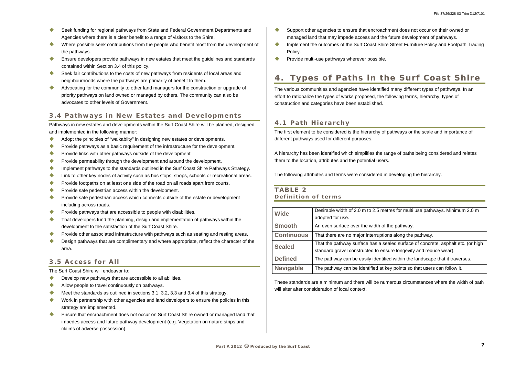- $\bullet$  Seek funding for regional pathways from State and Federal Government Departments and Agencies where there is a clear benefit to a range of visitors to the Shire.
- $\bullet$  Where possible seek contributions from the people who benefit most from the development of the pathways.
- $\bullet$  Ensure developers provide pathways in new estates that meet the guidelines and standards contained within Section 3.4 of this policy.
- $\bullet$  Seek fair contributions to the costs of new pathways from residents of local areas and neighbourhoods where the pathways are primarily of benefit to them.
- $\blacklozenge$  Advocating for the community to other land managers for the construction or upgrade of priority pathways on land owned or managed by others. The community can also be advocates to other levels of Government.

### **3.4 Pathways in New Estates and Developments**

Pathways in new estates and developments within the Surf Coast Shire will be planned, designed and implemented in the following manner:

- $\blacklozenge$ Adopt the principles of "walkabilty" in designing new estates or developments.
- $\blacklozenge$ Provide pathways as a basic requirement of the infrastructure for the development.
- Provide links with other pathways outside of the development.
- $\blacklozenge$ Provide permeability through the development and around the development.
- $\bullet$ Implement pathways to the standards outlined in the Surf Coast Shire Pathways Strategy.
- $\blacklozenge$ Link to other key nodes of activity such as bus stops, shops, schools or recreational areas.
- Provide footpaths on at least one side of the road on all roads apart from courts.
- $\blacklozenge$ Provide safe pedestrian access within the development.
- $\bullet$  Provide safe pedestrian access which connects outside of the estate or development including across roads.
- $\blacktriangle$ Provide pathways that are accessible to people with disabilities.
- $\blacklozenge$  That developers fund the planning, design and implementation of pathways within the development to the satisfaction of the Surf Coast Shire.
- $\bullet$ Provide other associated infrastructure with pathways such as seating and resting areas.
- $\blacklozenge$  Design pathways that are complimentary and where appropriate, reflect the character of the area.

- $\bullet$ Develop new pathways that are accessible to all abilities.
- $\blacklozenge$ Allow people to travel continuously on pathways.
- $\blacklozenge$ Meet the standards as outlined in sections 3.1, 3.2, 3.3 and 3.4 of this strategy.
- $\bullet$  Work in partnership with other agencies and land developers to ensure the policies in this strategy are implemented.
- $\bullet$  Ensure that encroachment does not occur on Surf Coast Shire owned or managed land that impedes access and future pathway development (e.g. Vegetation on nature strips and claims of adverse possession).
- $\bullet$  Support other agencies to ensure that encroachment does not occur on their owned or managed land that may impede access and the future development of pathways.
- Implement the outcomes of the Surf Coast Shire Street Furniture Policy and Footpath Trading Policy.
- $\bullet$ Provide multi-use pathways wherever possible.

These standards are a minimum and there will be numerous circumstances where the width of path will alter after consideration of local context.

### **3.5 Access for All**

The Surf Coast Shire will endeavor to:

# **4. Types of Paths in the Surf Coast Shire**

The various communities and agencies have identified many different types of pathways. In an effort to rationalize the types of works proposed, the following terms, hierarchy, types of construction and categories have been established.

### **4.1 Path Hierarchy**

The first element to be considered is the hierarchy of pathways or the scale and importance of different pathways used for different purposes.

A hierarchy has been identified which simplifies the range of paths being considered and relates them to the location, attributes and the potential users.

The following attributes and terms were considered in developing the hierarchy.

#### **TABLE 2 Definition of terms**

| <b>Wide</b>       | Desirable width of 2.0 m to 2.5 metr<br>adopted for use.                  |
|-------------------|---------------------------------------------------------------------------|
| <b>Smooth</b>     | An even surface over the width of th                                      |
| <b>Continuous</b> | That there are no major interruption                                      |
| <b>Sealed</b>     | That the pathway surface has a sea<br>standard gravel constructed to ensu |
| <b>Defined</b>    | The pathway can be easily identified                                      |
| <b>Navigable</b>  | The pathway can be identified at ke                                       |

res for multi use pathways. Minimum 2.0 m

**Sole** pathway.

**S** along the pathway.

lled surface of concrete, asphalt etc. (or high<br>*u*re longevity and reduce wear).

d within the landscape that it traverses.

**EXADIGE IS paintly points so that users can follow it.**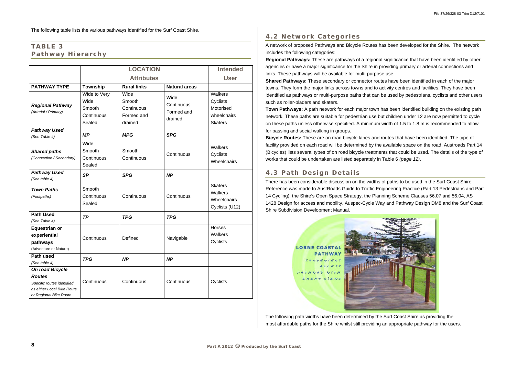The following table lists the various pathways identified for the Surf Coast Shire.

### **TABLE 3 Pathway Hierarchy**

|                                                                                                                               | <b>LOCATION</b>                                        |                                                       | <b>Intended</b>                             |                                                                   |
|-------------------------------------------------------------------------------------------------------------------------------|--------------------------------------------------------|-------------------------------------------------------|---------------------------------------------|-------------------------------------------------------------------|
|                                                                                                                               | <b>Attributes</b>                                      |                                                       | <b>User</b>                                 |                                                                   |
| <b>PATHWAY TYPE</b>                                                                                                           | <b>Township</b>                                        | <b>Rural links</b>                                    | <b>Natural areas</b>                        |                                                                   |
| <b>Regional Pathway</b><br>(Arterial / Primary)                                                                               | Wide to Very<br>Wide<br>Smooth<br>Continuous<br>Sealed | Wide<br>Smooth<br>Continuous<br>Formed and<br>drained | Wide<br>Continuous<br>Formed and<br>drained | Walkers<br>Cyclists<br>Motorised<br>wheelchairs<br><b>Skaters</b> |
| <b>Pathway Used</b><br>(See Table 4)                                                                                          | <b>MP</b>                                              | <b>MPG</b>                                            | <b>SPG</b>                                  |                                                                   |
| <b>Shared paths</b><br>(Connection / Secondary)                                                                               | Wide<br>Smooth<br>Continuous<br>Sealed                 | Smooth<br>Continuous                                  | Continuous                                  | Walkers<br>Cyclists<br>Wheelchairs                                |
| <b>Pathway Used</b><br>(See table 4)                                                                                          | <b>SP</b>                                              | <b>SPG</b>                                            | <b>NP</b>                                   |                                                                   |
| <b>Town Paths</b><br>(Footpaths)                                                                                              | Smooth<br>Continuous<br>Sealed                         | Continuous                                            | Continuous                                  | <b>Skaters</b><br>Walkers<br>Wheelchairs<br>Cyclists (U12)        |
| <b>Path Used</b><br>(See Table 4)                                                                                             | <b>TP</b>                                              | <b>TPG</b>                                            | <b>TPG</b>                                  |                                                                   |
| <b>Equestrian or</b><br>experiential<br>pathways<br>(Adventure or Nature)                                                     | Continuous                                             | Defined                                               | Navigable                                   | Horses<br>Walkers<br>Cyclists                                     |
| Path used<br>(See table 4)                                                                                                    | TPG                                                    | <b>NP</b>                                             | <b>NP</b>                                   |                                                                   |
| <b>On road Bicycle</b><br><b>Routes</b><br>Specific routes identified<br>as either Local Bike Route<br>or Regional Bike Route | Continuous                                             | Continuous                                            | Continuous                                  | Cyclists                                                          |

### **4.2 Network Categories**

A network of proposed Pathways and Bicycle Routes has been developed for the Shire. The network includes the following categories:

**Regional Pathways:** These are pathways of a regional significance that have been identified by other agencies or have a major significance for the Shire in providing primary or arterial connections and links. These pathways will be available for multi-purpose use. **Shared Pathways:** These secondary or connector routes have been identified in each of the major towns. They form the major links across towns and to activity centres and facilities. They have been identified as pathways or multi-purpose paths that can be used by pedestrians, cyclists and other users such as roller-bladers and skaters.

**Town Pathways:** A path network for each major town has been identified building on the existing path network. These paths are suitable for pedestrian use but children under 12 are now permitted to cycle on these paths unless otherwise specified. A minimum width of 1.5 to 1.8 m is recommended to allow for passing and social walking in groups.

**Bicycle Routes:** These are on road bicycle lanes and routes that have been identified. The type of facility provided on each road will be determined by the available space on the road. Austroads Part 14 (Bicycles) lists several types of on road bicycle treatments that could be used. The details of the type of works that could be undertaken are listed separately in Table 6 *(page 12)*.

### **4.3 Path Design Details**

There has been considerable discussion on the widths of paths to be used in the Surf Coast Shire. Reference was made to AustRoads Guide to Traffic Engineering Practice (Part 13 Pedestrians and Part 14 Cycling), the Shire's Open Space Strategy, the Planning Scheme Clauses 56.07 and 56.04, AS 1428 Design for access and mobility, Auspec-Cycle Way and Pathway Design DM8 and the Surf Coast Shire Subdivision Development Manual.

# **LORNE COASTAL**  $conv \in u$ <sub>i</sub> $\in u$  $ACCESS$ THWAY WITH GREAT VIEWS

The following path widths have been determined by the Surf Coast Shire as providing the most affordable paths for the Shire whilst still providing an appropriate pathway for the users.

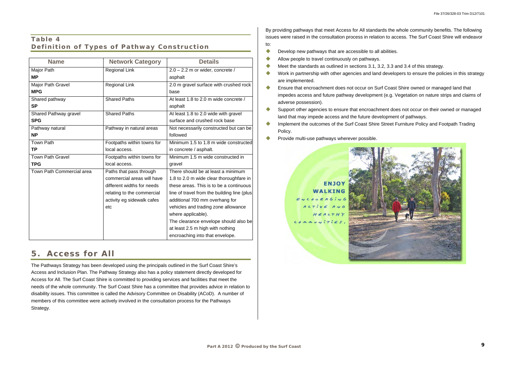### **Table 4 Definition of Types of Pathway Construction**

| <b>Name</b>               | <b>Network Category</b>    | <b>Details</b>                              |
|---------------------------|----------------------------|---------------------------------------------|
| Major Path                | <b>Regional Link</b>       | $2.0 - 2.2$ m or wider, concrete /          |
| <b>MP</b>                 |                            | asphalt                                     |
| Major Path Gravel         | <b>Regional Link</b>       | 2.0 m gravel surface with crushed rock      |
| <b>MPG</b>                |                            | base                                        |
| Shared pathway            | <b>Shared Paths</b>        | At least 1.8 to 2.0 m wide concrete /       |
| <b>SP</b>                 |                            | asphalt                                     |
| Shared Pathway gravel     | <b>Shared Paths</b>        | At least 1.8 to 2.0 wide with gravel        |
| <b>SPG</b>                |                            | surface and crushed rock base               |
| Pathway natural           | Pathway in natural areas   | Not necessarily constructed but can be      |
| <b>NP</b>                 |                            | followed                                    |
| <b>Town Path</b>          | Footpaths within towns for | Minimum 1.5 to 1.8 m wide constructed       |
| <b>TP</b>                 | local access.              | in concrete / asphalt.                      |
| <b>Town Path Gravel</b>   | Footpaths within towns for | Minimum 1.5 m wide constructed in           |
| <b>TPG</b>                | local access.              | gravel                                      |
| Town Path Commercial area | Paths that pass through    | There should be at least a minimum          |
|                           | commercial areas will have | 1.8 to 2.0 m wide clear thoroughfare in     |
|                           | different widths for needs | these areas. This is to be a continuous     |
|                           | relating to the commercial | line of travel from the building line (plus |
|                           | activity eg sidewalk cafes | additional 700 mm overhang for              |
|                           | etc                        | vehicles and trading zone allowance         |
|                           |                            | where applicable).                          |
|                           |                            | The clearance envelope should also be       |
|                           |                            | at least 2.5 m high with nothing            |
|                           |                            | encroaching into that envelope.             |

## **5. Access for All**

- $\bullet$ Develop new pathways that are accessible to all abilities.
- Allow people to travel continuously on pathways.
- $\bullet$ Meet the standards as outlined in sections 3.1, 3.2, 3.3 and 3.4 of this strategy.
- Work in partnership with other agencies and land developers to ensure the policies in this strategy are implemented.
- Ensure that encroachment does not occur on Surf Coast Shire owned or managed land that impedes access and future pathway development (e.g. Vegetation on nature strips and claims of adverse possession).
- Support other agencies to ensure that encroachment does not occur on their owned or managed land that may impede access and the future development of pathways.
- Implement the outcomes of the Surf Coast Shire Street Furniture Policy and Footpath Trading Policy.
- $\bullet$ Provide multi-use pathways wherever possible.

### ENJO' WALKING ENCOURAGIN  $A C TiV E$  $H \subseteq A L T H$  $commuvitis$



The Pathways Strategy has been developed using the principals outlined in the Surf Coast Shire's Access and Inclusion Plan. The Pathway Strategy also has a policy statement directly developed for Access for All. The Surf Coast Shire is committed to providing services and facilities that meet the needs of the whole community. The Surf Coast Shire has a committee that provides advice in relation to disability issues. This committee is called the Advisory Committee on Disability (ACoD). A number of members of this committee were actively involved in the consultation process for the Pathways Strategy.

By providing pathways that meet Access for All standards the whole community benefits. The following issues were raised in the consultation process in relation to access. The Surf Coast Shire will endeavor to: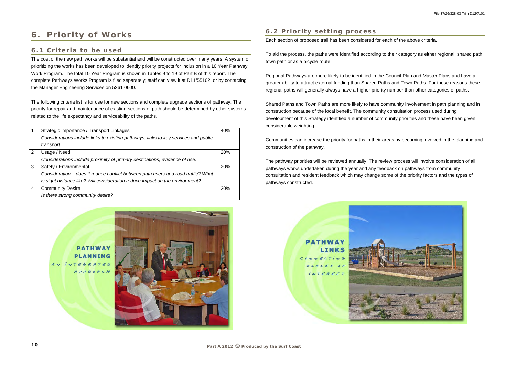# **6. Priority of Works**

### **6.1 Criteria to be used**

The cost of the new path works will be substantial and will be constructed over many years. A system of prioritizing the works has been developed to identify priority projects for inclusion in a 10 Year Pathway Work Program. The total 10 Year Program is shown in Tables 9 to 19 of Part B of this report. The complete Pathways Works Program is filed separately; staff can view it at D11/55102, or by contacting the Manager Engineering Services on 5261 0600.

The following criteria list is for use for new sections and complete upgrade sections of pathway. The priority for repair and maintenance of existing sections of path should be determined by other systems related to the life expectancy and serviceability of the paths.

|   | Strategic importance / Transport Linkages                                           | 40% |
|---|-------------------------------------------------------------------------------------|-----|
|   | Considerations include links to existing pathways, links to key services and public |     |
|   | transport.                                                                          |     |
| 2 | Usage / Need                                                                        | 20% |
|   | Considerations include proximity of primary destinations, evidence of use.          |     |
| 3 | Safety / Environmental                                                              | 20% |
|   | Consideration - does it reduce conflict between path users and road traffic? What   |     |
|   | is sight distance like? Will consideration reduce impact on the environment?        |     |
| 4 | <b>Community Desire</b>                                                             | 20% |
|   | Is there strong community desire?                                                   |     |



### **6.2 Priority setting process**

Each section of proposed trail has been considered for each of the above criteria.

To aid the process, the paths were identified according to their category as either regional, shared path, town path or as a bicycle route.

Regional Pathways are more likely to be identified in the Council Plan and Master Plans and have a greater ability to attract external funding than Shared Paths and Town Paths. For these reasons these regional paths will generally always have a higher priority number than other categories of paths.

Shared Paths and Town Paths are more likely to have community involvement in path planning and in construction because of the local benefit. The community consultation process used during development of this Strategy identified a number of community priorities and these have been given considerable weighting.

Communities can increase the priority for paths in their areas by becoming involved in the planning and construction of the pathway.

The pathway priorities will be reviewed annually. The review process will involve consideration of all pathways works undertaken during the year and any feedback on pathways from community consultation and resident feedback which may change some of the priority factors and the types of pathways constructed.

> **PATHWAY LINKS**  $INTEREST$

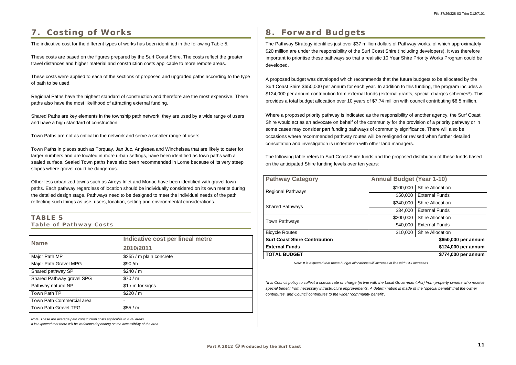# **7. Costing of Works**

The indicative cost for the different types of works has been identified in the following Table 5.

These costs are based on the figures prepared by the Surf Coast Shire. The costs reflect the greater travel distances and higher material and construction costs applicable to more remote areas.

These costs were applied to each of the sections of proposed and upgraded paths according to the type of path to be used.

Regional Paths have the highest standard of construction and therefore are the most expensive. These paths also have the most likelihood of attracting external funding.

Shared Paths are key elements in the township path network, they are used by a wide range of users and have a high standard of construction.

Town Paths are not as critical in the network and serve a smaller range of users.

Town Paths in places such as Torquay, Jan Juc, Anglesea and Winchelsea that are likely to cater for larger numbers and are located in more urban settings, have been identified as town paths with a sealed surface. Sealed Town paths have also been recommended in Lorne because of its very steep slopes where gravel could be dangerous.

Other less urbanized towns such as Aireys Inlet and Moriac have been identified with gravel town paths. Each pathway regardless of location should be individually considered on its own merits during the detailed design stage. Pathways need to be designed to meet the individual needs of the path reflecting such things as use, users, location, setting and environmental considerations.

### **TABLE 5 Table of Pathway Costs**

| <b>Name</b>                 | Indicative cost per lineal metre<br>2010/2011 |
|-----------------------------|-----------------------------------------------|
| Major Path MP               | \$255 / m plain concrete                      |
| Major Path Gravel MPG       | \$90/m                                        |
| Shared pathway SP           | \$240/m                                       |
| Shared Pathway gravel SPG   | \$70/m                                        |
| Pathway natural NP          | $$1 / m$ for signs                            |
| Town Path TP                | \$220/m                                       |
| Town Path Commercial area   | $\overline{\phantom{0}}$                      |
| <b>Town Path Gravel TPG</b> | \$55 / m                                      |

*Note: These are average path construction costs applicable to rural areas.* 

*It is expected that there will be variations depending on the accessibility of the area.* 

# **8. Forward Budgets**

The Pathway Strategy identifies just over \$37 million dollars of Pathway works, of which approximately \$20 million are under the responsibility of the Surf Coast Shire (including developers). It was therefore important to prioritise these pathways so that a realistic 10 Year Shire Priority Works Program could be developed.

A proposed budget was developed which recommends that the future budgets to be allocated by the Surf Coast Shire \$650,000 per annum for each year. In addition to this funding, the program includes a \$124,000 per annum contribution from external funds (external grants, special charges schemes\*). This provides a total budget allocation over 10 years of \$7.74 million with council contributing \$6.5 million.

Where a proposed priority pathway is indicated as the responsibility of another agency, the Surf Coast Shire would act as an advocate on behalf of the community for the provision of a priority pathway or in some cases may consider part funding pathways of community significance. There will also be occasions where recommended pathway routes will be realigned or revised when further detailed consultation and investigation is undertaken with other land managers.

The following table refers to Surf Coast Shire funds and the proposed distribution of these funds based on the anticipated Shire funding levels over ten years:

| <b>Pathway Category</b>              | <b>Annual Budget (Year 1-10)</b> |                         |
|--------------------------------------|----------------------------------|-------------------------|
| <b>Regional Pathways</b>             | \$100,000                        | <b>Shire Allocation</b> |
|                                      | \$50,000                         | <b>External Funds</b>   |
| <b>Shared Pathways</b>               | \$340,000                        | <b>Shire Allocation</b> |
|                                      | \$34,000                         | <b>External Funds</b>   |
| <b>Town Pathways</b>                 | \$200,000                        | <b>Shire Allocation</b> |
|                                      | \$40,000                         | <b>External Funds</b>   |
| <b>Bicycle Routes</b>                | \$10,000                         | <b>Shire Allocation</b> |
| <b>Surf Coast Shire Contribution</b> |                                  | \$650,000 per annum     |
| <b>External Funds</b>                |                                  | \$124,000 per annum     |
| <b>TOTAL BUDGET</b>                  |                                  | \$774,000 per annum     |

*Note: It is expected that these budget allocations will increase in line with CPI increases* 

*\*It is Council policy to collect a special rate or charge (in line with the Local Government Act) from property owners who receive special benefit from necessary infrastructure improvements. A determination is made of the "special benefit" that the owner contributes, and Council contributes to the wider "community benefit".*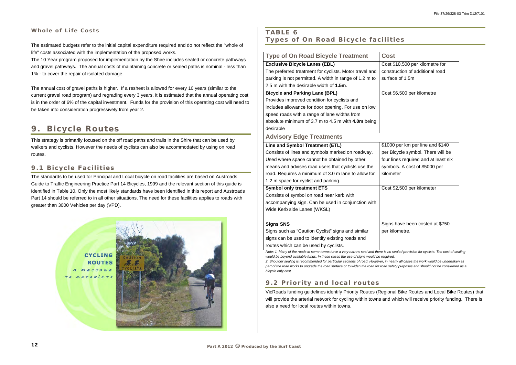### **Whole of Life Costs**

The estimated budgets refer to the initial capital expenditure required and do not reflect the "whole of life" costs associated with the implementation of the proposed works.

The 10 Year program proposed for implementation by the Shire includes sealed or concrete pathways and gravel pathways. The annual costs of maintaining concrete or sealed paths is nominal - less than 1% - to cover the repair of isolated damage.

The annual cost of gravel paths is higher. If a resheet is allowed for every 10 years (similar to the current gravel road program) and regrading every 3 years, it is estimated that the annual operating cost is in the order of 6% of the capital investment. Funds for the provision of this operating cost will need to be taken into consideration progressively from year 2.

#### **9.Bicycle Routes**

This strategy is primarily focused on the off road paths and trails in the Shire that can be used by walkers and cyclists. However the needs of cyclists can also be accommodated by using on road routes.

### **9.1 Bicycle Facilities**

The standards to be used for Principal and Local bicycle on road facilities are based on Austroads Guide to Traffic Engineering Practice Part 14 Bicycles, 1999 and the relevant section of this guide is identified in Table 10. Only the most likely standards have been identified in this report and Austroads Part 14 should be referred to in all other situations. The need for these facilities applies to roads with greater than 3000 Vehicles per day (VPD).



### **TABLE 6 Types of On Road Bicycle facilities**

| <b>Type of On Road Bicycle Treatment</b>               | Cost      |
|--------------------------------------------------------|-----------|
| <b>Exclusive Bicycle Lanes (EBL)</b>                   | Cost \$1  |
| The preferred treatment for cyclists. Motor travel and | constru   |
| parking is not permitted. A width in range of 1.2 m to | surface   |
| 2.5 m with the desirable width of 1.5m.                |           |
| <b>Bicycle and Parking Lane (BPL)</b>                  | Cost \$6  |
| Provides improved condition for cyclists and           |           |
| includes allowance for door opening. For use on low    |           |
| speed roads with a range of lane widths from           |           |
| absolute minimum of 3.7 m to 4.5 m with 4.0m being     |           |
| desirable                                              |           |
| <b>Advisory Edge Treatments</b>                        |           |
| Line and Symbol Treatment (ETL)                        | \$1000    |
| Consists of lines and symbols marked on roadway.       | per Bic   |
| Used where space cannot be obtained by other           | four line |
| means and advises road users that cyclists use the     | symbol    |
| road. Requires a minimum of 3.0 m lane to allow for    | kilomet   |
| 1.2 m space for cyclist and parking.                   |           |
| <b>Symbol only treatment ETS</b>                       | Cost \$2  |
| Consists of symbol on road near kerb with              |           |
| accompanying sign. Can be used in conjunction with     |           |
| Wide Kerb side Lanes (WKSL)                            |           |
|                                                        |           |
| <b>Signs SNS</b>                                       | Signs h   |
| Signs such as "Caution Cyclist" signs and similar      | per kilo  |
| signs can be used to identify existing roads and       |           |
| routes which can be used by cyclists.                  |           |

*Note: 1. Many of the roads in some towns have a very narrow seal and there is no sealed provision for cyclists. The cost of sealing would be beyond available funds. In these cases the use of signs would be required. 2. Shoulder sealing is recommended for particular sections of road. However, in nearly all cases the work would be undertaken as part of the road works to upgrade the road surface or to widen the road for road safety purposes and should not be considered as a bicycle only cost.* 

### **9.2 Priority and local routes**

VicRoads funding guidelines identify Priority Routes (Regional Bike Routes and Local Bike Routes) that will provide the arterial network for cycling within towns and which will receive priority funding. There is also a need for local routes within towns.

st \$10,500 per kilometre for construction of additional road face of 1.5m

st \$6,500 per kilometre

000 per km per line and \$140 Bicycle symbol. There will be Ines required and at least six nbols. A cost of \$5000 per meter

st \$2,500 per kilometer

Ins have been costed at \$750 · kilometre.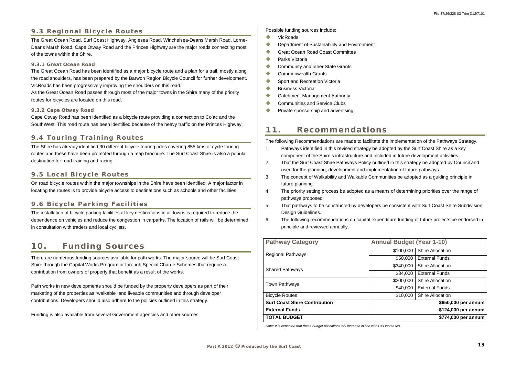### **9.3 Regional Bicycle Routes**

The Great Ocean Road, Surf Coast Highway, Anglesea Road, Winchelsea-Deans Marsh Road, Lorne-Deans Marsh Road, Cape Otway Road and the Princes Highway are the major roads connecting most of the towns within the Shire.

#### **9.3.1 Great Ocean Road**

The Great Ocean Road has been identified as a major bicycle route and a plan for a trail, mostly along the road shoulders, has been prepared by the Barwon Region Bicycle Council for further development. VicRoads has been progressively improving the shoulders on this road.

As the Great Ocean Road passes through most of the major towns in the Shire many of the priority routes for bicycles are located on this road.

#### **9.3.2 Cape Otway Road**

Cape Otway Road has been identified as a bicycle route providing a connection to Colac and the SouthWest. This road route has been identified because of the heavy traffic on the Princes Highway.

### **9.4 Touring Training Routes**

The Shire has already identified 30 different bicycle touring rides covering 855 kms of cycle touring routes and these have been promoted through a map brochure. The Surf Coast Shire is also a popular destination for road training and racing.

### **9.5 Local Bicycle Routes**

On road bicycle routes within the major townships in the Shire have been identified. A major factor in locating the routes is to provide bicycle access to destinations such as schools and other facilities.

- $\bullet$ VicRoads
- $\blacklozenge$ Department of Sustainability and Environment
- $\blacktriangle$ Great Ocean Road Coast Committee
- $\triangle$ Parks Victoria
- $\bullet$ Community and other State Grants
- $\bullet$ Commonwealth Grants
- $\bullet$ Sport and Recreation Victoria
- $\blacktriangle$ Business Victoria
- $\bullet$ Catchment Management Authority
- $\blacktriangle$ Communities and Service Clubs
- $\bullet$ Private sponsorship and advertising

### **9.6 Bicycle Parking Facilities**

The installation of bicycle parking facilities at key destinations in all towns is required to reduce the dependence on vehicles and reduce the congestion in carparks. The location of rails will be determined in consultation with traders and local cyclists.

#### **10.Funding Sources**

There are numerous funding sources available for path works. The major source will be Surf Coast Shire through the Capital Works Program or through Special Charge Schemes that require a contribution from owners of property that benefit as a result of the works.

Path works in new developments should be funded by the property developers as part of their marketing of the properties as "walkable" and liveable communities and through developer contributions. Developers should also adhere to the policies outlined in this strategy.

Funding is also available from several Government agencies and other sources.

Possible funding sources include:

#### **11.Recommendations**

The following Recommendations are made to facilitate the implementation of the Pathways Strategy.

- 1. Pathways identified in this revised strategy be adopted by the Surf Coast Shire as a key component of the Shire's infrastructure and included in future development activities.
- 2. That the Surf Coast Shire Pathways Policy outlined in this strategy be adopted by Council and used for the planning, development and implementation of future pathways.
- 3. The concept of Walkability and Walkable Communities be adopted as a guiding principle in future planning.
- 4. The priority setting process be adopted as a means of determining priorities over the range of pathways proposed.
- 5. That pathways to be constructed by developers be consistent with Surf Coast Shire Subdivision Design Guidelines.
- 6. The following recommendations on capital expenditure funding of future projects be endorsed in principle and reviewed annually.

| <b>Pathway Category</b>              | <b>Annual Budget (Year 1-10)</b> |                         |
|--------------------------------------|----------------------------------|-------------------------|
| <b>Regional Pathways</b>             | \$100,000                        | <b>Shire Allocation</b> |
|                                      | \$50,000                         | <b>External Funds</b>   |
| <b>Shared Pathways</b>               | \$340,000                        | <b>Shire Allocation</b> |
|                                      | \$34,000                         | <b>External Funds</b>   |
| <b>Town Pathways</b>                 | \$200,000                        | <b>Shire Allocation</b> |
|                                      | \$40,000                         | <b>External Funds</b>   |
| <b>Bicycle Routes</b>                | \$10,000                         | <b>Shire Allocation</b> |
| <b>Surf Coast Shire Contribution</b> |                                  | \$650,000 per annum     |
| <b>External Funds</b>                |                                  | \$124,000 per annum     |
| <b>TOTAL BUDGET</b>                  |                                  | \$774,000 per annum     |

*Note: It is expected that these budget allocations will increase in line with CPI increases*